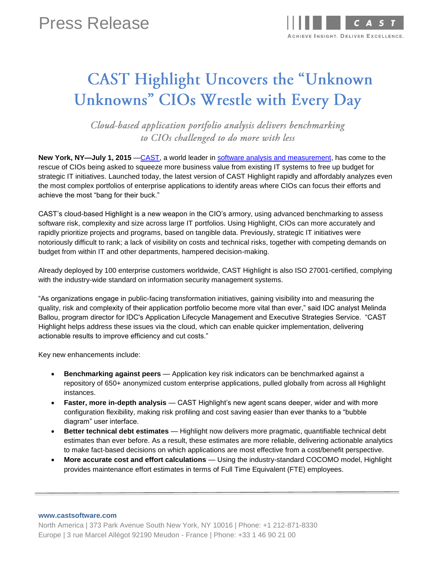## Press Release



# **CAST Highlight Uncovers the "Unknown** Unknowns" CIOs Wrestle with Every Day

Cloud-based application portfolio analysis delivers benchmarking to CIOs challenged to do more with less

**New York, NY—July 1, 2015** [—CAST,](http://www.castsoftware.com/) a world leader in [software analysis and measurement,](http://www.castsoftware.com/glossary/code-analysis) has come to the rescue of CIOs being asked to squeeze more business value from existing IT systems to free up budget for strategic IT initiatives. Launched today, the latest version of CAST Highlight rapidly and affordably analyzes even the most complex portfolios of enterprise applications to identify areas where CIOs can focus their efforts and achieve the most "bang for their buck."

CAST's cloud-based Highlight is a new weapon in the CIO's armory, using advanced benchmarking to assess software risk, complexity and size across large IT portfolios. Using Highlight, CIOs can more accurately and rapidly prioritize projects and programs, based on tangible data. Previously, strategic IT initiatives were notoriously difficult to rank; a lack of visibility on costs and technical risks, together with competing demands on budget from within IT and other departments, hampered decision-making.

Already deployed by 100 enterprise customers worldwide, CAST Highlight is also ISO 27001-certified, complying with the industry-wide standard on information security management systems.

"As organizations engage in public-facing transformation initiatives, gaining visibility into and measuring the quality, risk and complexity of their application portfolio become more vital than ever," said IDC analyst Melinda Ballou, program director for IDC's Application Lifecycle Management and Executive Strategies Service. "CAST Highlight helps address these issues via the cloud, which can enable quicker implementation, delivering actionable results to improve efficiency and cut costs."

Key new enhancements include:

- **Benchmarking against peers** Application key risk indicators can be benchmarked against a repository of 650+ anonymized custom enterprise applications, pulled globally from across all Highlight instances.
- **Faster, more in-depth analysis** CAST Highlight's new agent scans deeper, wider and with more configuration flexibility, making risk profiling and cost saving easier than ever thanks to a "bubble diagram" user interface.
- **Better technical debt estimates** Highlight now delivers more pragmatic, quantifiable technical debt estimates than ever before. As a result, these estimates are more reliable, delivering actionable analytics to make fact-based decisions on which applications are most effective from a cost/benefit perspective.
- **More accurate cost and effort calculations** Using the industry-standard COCOMO model, Highlight provides maintenance effort estimates in terms of Full Time Equivalent (FTE) employees.

**www.castsoftware.com**